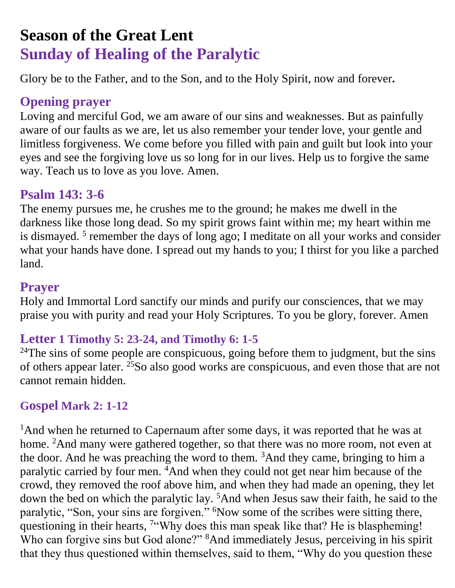# **Season of the Great Lent Sunday of Healing of the Paralytic**

Glory be to the Father, and to the Son, and to the Holy Spirit, now and forever**.**

### **Opening prayer**

Loving and merciful God, we am aware of our sins and weaknesses. But as painfully aware of our faults as we are, let us also remember your tender love, your gentle and limitless forgiveness. We come before you filled with pain and guilt but look into your eyes and see the forgiving love us so long for in our lives. Help us to forgive the same way. Teach us to love as you love. Amen.

## **Psalm 143: 3-6**

The enemy pursues me, he crushes me to the ground; he makes me dwell in the darkness like those long dead. So my spirit grows faint within me; my heart within me is dismayed.<sup>5</sup> remember the days of long ago; I meditate on all your works and consider what your hands have done. I spread out my hands to you; I thirst for you like a parched land.

## **Prayer**

Holy and Immortal Lord sanctify our minds and purify our consciences, that we may praise you with purity and read your Holy Scriptures. To you be glory, forever. Amen

## **Letter 1 Timothy 5: 23-24, and Timothy 6: 1-5**

<sup>24</sup>The sins of some people are conspicuous, going before them to judgment, but the sins of others appear later. <sup>25</sup>So also good works are conspicuous, and even those that are not cannot remain hidden.

#### **Gospel Mark 2: 1-12**

<sup>1</sup>And when he returned to Capernaum after some days, it was reported that he was at home. <sup>2</sup>And many were gathered together, so that there was no more room, not even at the door. And he was preaching the word to them.  $3$ And they came, bringing to him a paralytic carried by four men. <sup>4</sup>And when they could not get near him because of the crowd, they removed the roof above him, and when they had made an opening, they let down the bed on which the paralytic lay. <sup>5</sup>And when Jesus saw their faith, he said to the paralytic, "Son, your sins are forgiven." <sup>6</sup>Now some of the scribes were sitting there, questioning in their hearts, <sup>7"</sup>Why does this man speak like that? He is blaspheming! Who can forgive sins but God alone?" <sup>8</sup>And immediately Jesus, perceiving in his spirit that they thus questioned within themselves, said to them, "Why do you question these